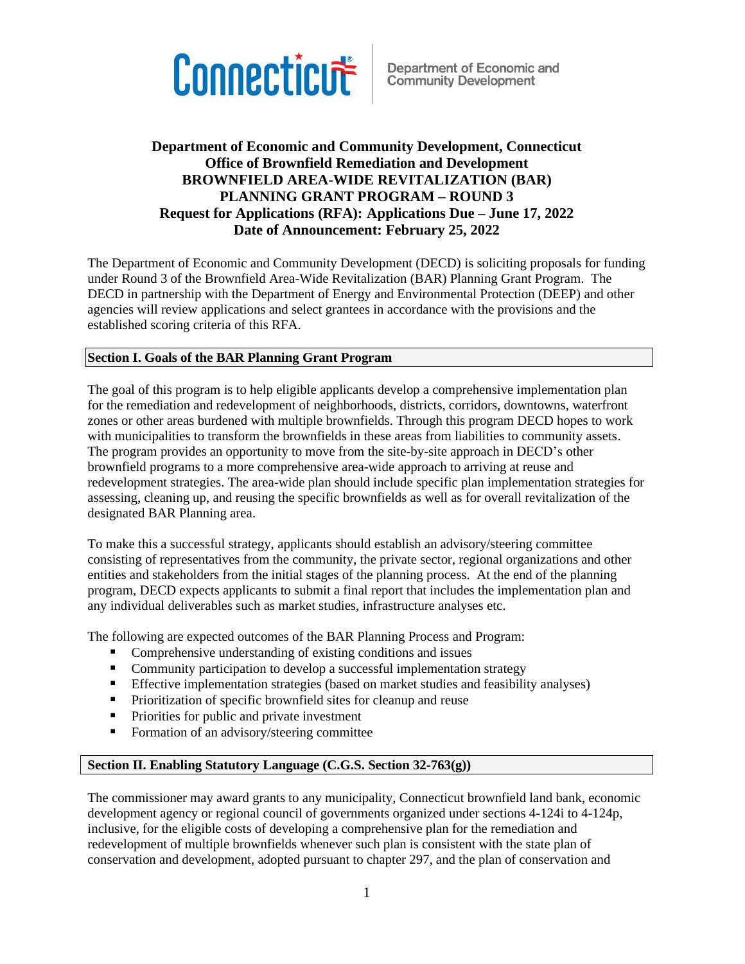

### **Department of Economic and Community Development, Connecticut Office of Brownfield Remediation and Development BROWNFIELD AREA-WIDE REVITALIZATION (BAR) PLANNING GRANT PROGRAM – ROUND 3 Request for Applications (RFA): Applications Due – June 17, 2022 Date of Announcement: February 25, 2022**

The Department of Economic and Community Development (DECD) is soliciting proposals for funding under Round 3 of the Brownfield Area-Wide Revitalization (BAR) Planning Grant Program. The DECD in partnership with the Department of Energy and Environmental Protection (DEEP) and other agencies will review applications and select grantees in accordance with the provisions and the established scoring criteria of this RFA.

#### **Section I. Goals of the BAR Planning Grant Program**

The goal of this program is to help eligible applicants develop a comprehensive implementation plan for the remediation and redevelopment of neighborhoods, districts, corridors, downtowns, waterfront zones or other areas burdened with multiple brownfields. Through this program DECD hopes to work with municipalities to transform the brownfields in these areas from liabilities to community assets. The program provides an opportunity to move from the site-by-site approach in DECD's other brownfield programs to a more comprehensive area-wide approach to arriving at reuse and redevelopment strategies. The area-wide plan should include specific plan implementation strategies for assessing, cleaning up, and reusing the specific brownfields as well as for overall revitalization of the designated BAR Planning area.

To make this a successful strategy, applicants should establish an advisory/steering committee consisting of representatives from the community, the private sector, regional organizations and other entities and stakeholders from the initial stages of the planning process. At the end of the planning program, DECD expects applicants to submit a final report that includes the implementation plan and any individual deliverables such as market studies, infrastructure analyses etc.

The following are expected outcomes of the BAR Planning Process and Program:

- Comprehensive understanding of existing conditions and issues
- Community participation to develop a successful implementation strategy
- **Effective implementation strategies (based on market studies and feasibility analyses)**
- Prioritization of specific brownfield sites for cleanup and reuse
- Priorities for public and private investment
- Formation of an advisory/steering committee

#### **Section II. Enabling Statutory Language (C.G.S. Section 32-763(g))**

The commissioner may award grants to any municipality, Connecticut brownfield land bank, economic development agency or regional council of governments organized under sections 4-124i to 4-124p, inclusive, for the eligible costs of developing a comprehensive plan for the remediation and redevelopment of multiple brownfields whenever such plan is consistent with the state plan of conservation and development, adopted pursuant to chapter 297, and the plan of conservation and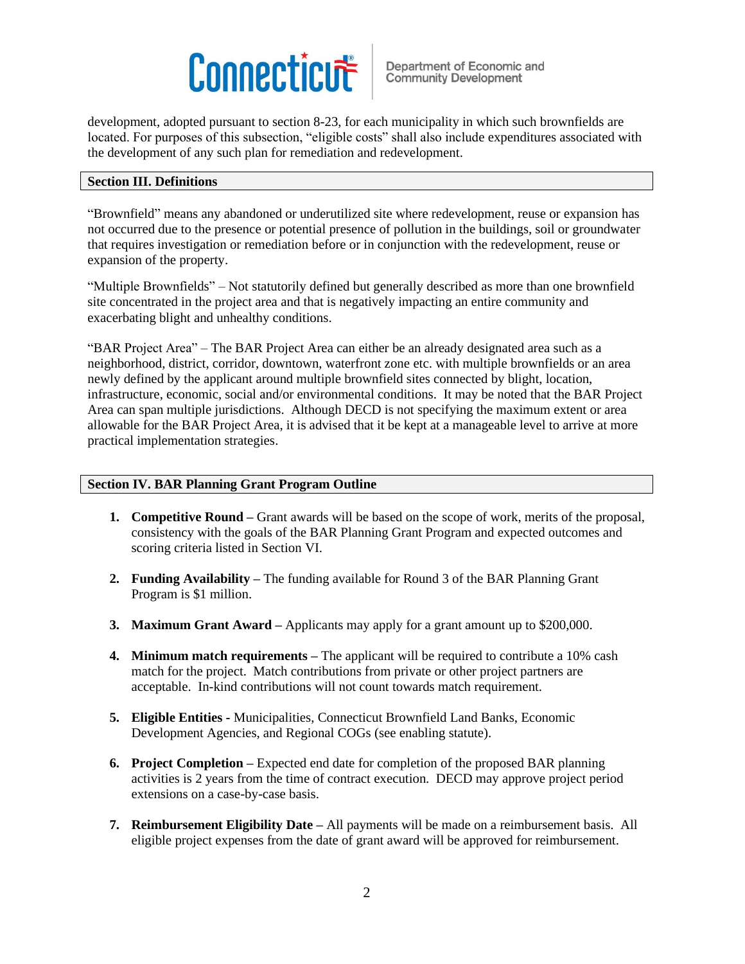development, adopted pursuant to section 8-23, for each municipality in which such brownfields are located. For purposes of this subsection, "eligible costs" shall also include expenditures associated with the development of any such plan for remediation and redevelopment.

#### **Section III. Definitions**

"Brownfield" means any abandoned or underutilized site where redevelopment, reuse or expansion has not occurred due to the presence or potential presence of pollution in the buildings, soil or groundwater that requires investigation or remediation before or in conjunction with the redevelopment, reuse or expansion of the property.

"Multiple Brownfields" – Not statutorily defined but generally described as more than one brownfield site concentrated in the project area and that is negatively impacting an entire community and exacerbating blight and unhealthy conditions.

"BAR Project Area" – The BAR Project Area can either be an already designated area such as a neighborhood, district, corridor, downtown, waterfront zone etc. with multiple brownfields or an area newly defined by the applicant around multiple brownfield sites connected by blight, location, infrastructure, economic, social and/or environmental conditions. It may be noted that the BAR Project Area can span multiple jurisdictions. Although DECD is not specifying the maximum extent or area allowable for the BAR Project Area, it is advised that it be kept at a manageable level to arrive at more practical implementation strategies.

#### **Section IV. BAR Planning Grant Program Outline**

- **1. Competitive Round –** Grant awards will be based on the scope of work, merits of the proposal, consistency with the goals of the BAR Planning Grant Program and expected outcomes and scoring criteria listed in Section VI.
- **2. Funding Availability –** The funding available for Round 3 of the BAR Planning Grant Program is \$1 million.
- **3. Maximum Grant Award –** Applicants may apply for a grant amount up to \$200,000.
- **4. Minimum match requirements –** The applicant will be required to contribute a 10% cash match for the project. Match contributions from private or other project partners are acceptable. In-kind contributions will not count towards match requirement.
- **5. Eligible Entities -** Municipalities, Connecticut Brownfield Land Banks, Economic Development Agencies, and Regional COGs (see enabling statute).
- **6. Project Completion –** Expected end date for completion of the proposed BAR planning activities is 2 years from the time of contract execution. DECD may approve project period extensions on a case-by-case basis.
- **7. Reimbursement Eligibility Date –** All payments will be made on a reimbursement basis. All eligible project expenses from the date of grant award will be approved for reimbursement.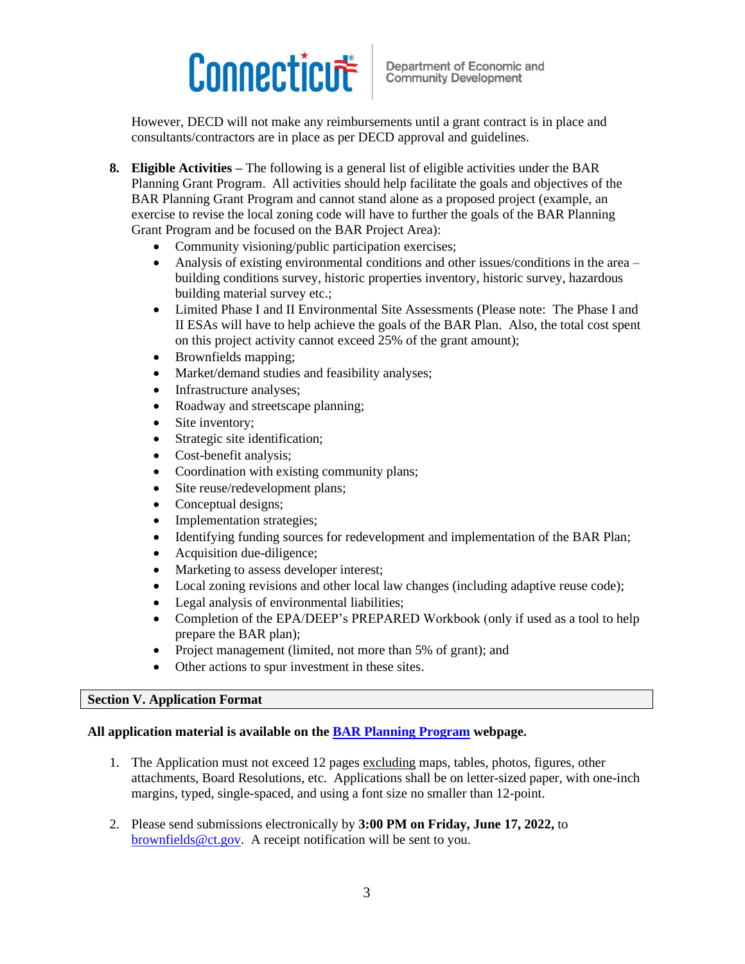However, DECD will not make any reimbursements until a grant contract is in place and consultants/contractors are in place as per DECD approval and guidelines.

- **8. Eligible Activities –** The following is a general list of eligible activities under the BAR Planning Grant Program. All activities should help facilitate the goals and objectives of the BAR Planning Grant Program and cannot stand alone as a proposed project (example, an exercise to revise the local zoning code will have to further the goals of the BAR Planning Grant Program and be focused on the BAR Project Area):
	- Community visioning/public participation exercises;
	- Analysis of existing environmental conditions and other issues/conditions in the area  $$ building conditions survey, historic properties inventory, historic survey, hazardous building material survey etc.;
	- Limited Phase I and II Environmental Site Assessments (Please note: The Phase I and II ESAs will have to help achieve the goals of the BAR Plan. Also, the total cost spent on this project activity cannot exceed 25% of the grant amount);
	- Brownfields mapping;
	- Market/demand studies and feasibility analyses;
	- Infrastructure analyses;
	- Roadway and streetscape planning;
	- Site inventory;
	- Strategic site identification;
	- Cost-benefit analysis;
	- Coordination with existing community plans;
	- Site reuse/redevelopment plans;
	- Conceptual designs:
	- Implementation strategies;
	- Identifying funding sources for redevelopment and implementation of the BAR Plan;
	- Acquisition due-diligence;
	- Marketing to assess developer interest;
	- Local zoning revisions and other local law changes (including adaptive reuse code);
	- Legal analysis of environmental liabilities;
	- Completion of the EPA/DEEP's PREPARED Workbook (only if used as a tool to help prepare the BAR plan);
	- Project management (limited, not more than 5% of grant); and
	- Other actions to spur investment in these sites.

#### **Section V. Application Format**

#### **All application material is available on the [BAR Planning Program](https://portal.ct.gov/DECD/Content/Community-Development/03_Funding_Opportunities/Brownfields-Remediation/Brownfield-Area-Wide-Revitalization-Planning-Grants) webpage.**

- 1. The Application must not exceed 12 pages excluding maps, tables, photos, figures, other attachments, Board Resolutions, etc. Applications shall be on letter-sized paper, with one-inch margins, typed, single-spaced, and using a font size no smaller than 12-point.
- 2. Please send submissions electronically by **3:00 PM on Friday, June 17, 2022,** to [brownfields@ct.gov.](mailto:brownfields@ct.gov) A receipt notification will be sent to you.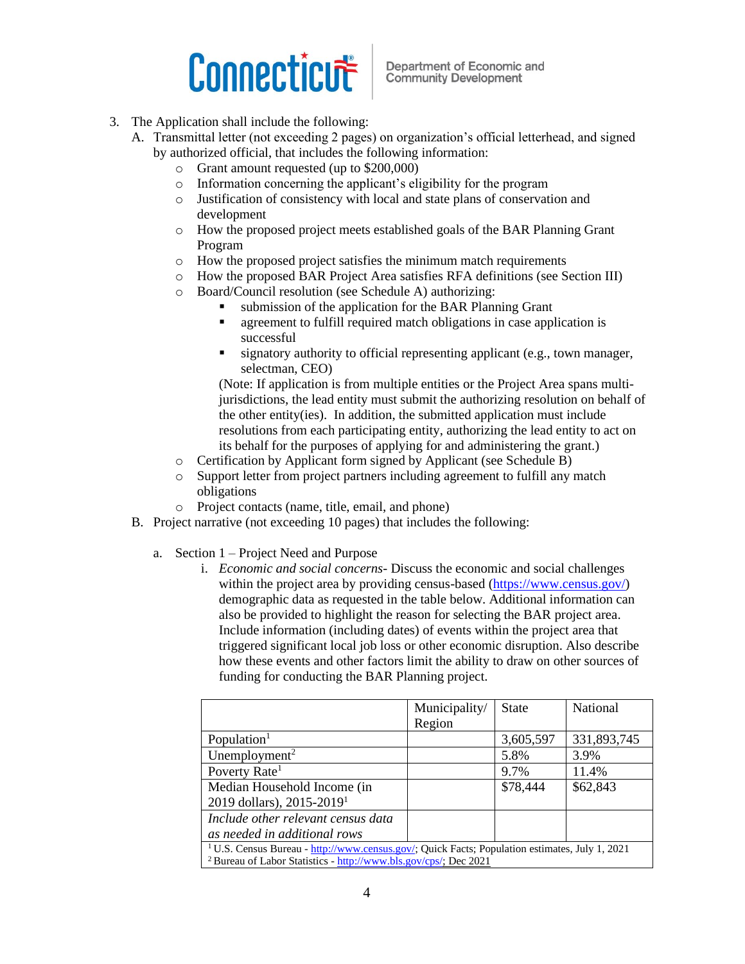Department of Economic and **Community Development** 

- 3. The Application shall include the following:
	- A. Transmittal letter (not exceeding 2 pages) on organization's official letterhead, and signed by authorized official, that includes the following information:
		- o Grant amount requested (up to \$200,000)
		- o Information concerning the applicant's eligibility for the program
		- o Justification of consistency with local and state plans of conservation and development
		- o How the proposed project meets established goals of the BAR Planning Grant Program
		- o How the proposed project satisfies the minimum match requirements
		- o How the proposed BAR Project Area satisfies RFA definitions (see Section III)
		- o Board/Council resolution (see Schedule A) authorizing:
			- submission of the application for the BAR Planning Grant
			- agreement to fulfill required match obligations in case application is successful
			- signatory authority to official representing applicant (e.g., town manager, selectman, CEO)

(Note: If application is from multiple entities or the Project Area spans multijurisdictions, the lead entity must submit the authorizing resolution on behalf of the other entity(ies). In addition, the submitted application must include resolutions from each participating entity, authorizing the lead entity to act on its behalf for the purposes of applying for and administering the grant.)

- o Certification by Applicant form signed by Applicant (see Schedule B)
- o Support letter from project partners including agreement to fulfill any match obligations
- o Project contacts (name, title, email, and phone)
- B. Project narrative (not exceeding 10 pages) that includes the following:
	- a. Section 1 Project Need and Purpose
		- i. *Economic and social concerns* Discuss the economic and social challenges within the project area by providing census-based [\(https://www.census.gov/\)](https://www.census.gov/) demographic data as requested in the table below. Additional information can also be provided to highlight the reason for selecting the BAR project area. Include information (including dates) of events within the project area that triggered significant local job loss or other economic disruption. Also describe how these events and other factors limit the ability to draw on other sources of funding for conducting the BAR Planning project.

|                                                                                                           | Municipality/ | <b>State</b> | National    |
|-----------------------------------------------------------------------------------------------------------|---------------|--------------|-------------|
|                                                                                                           | Region        |              |             |
| Population <sup>1</sup>                                                                                   |               | 3,605,597    | 331,893,745 |
| Unemployment <sup>2</sup>                                                                                 |               | 5.8%         | 3.9%        |
| Poverty Rate <sup>1</sup>                                                                                 |               | 9.7%         | 11.4%       |
| Median Household Income (in                                                                               |               | \$78,444     | \$62,843    |
| 2019 dollars), 2015-2019 <sup>1</sup>                                                                     |               |              |             |
| Include other relevant census data                                                                        |               |              |             |
| as needed in additional rows                                                                              |               |              |             |
| <sup>1</sup> U.S. Census Bureau - http://www.census.gov/; Quick Facts; Population estimates, July 1, 2021 |               |              |             |
| <sup>2</sup> Bureau of Labor Statistics - http://www.bls.gov/cps/; Dec 2021                               |               |              |             |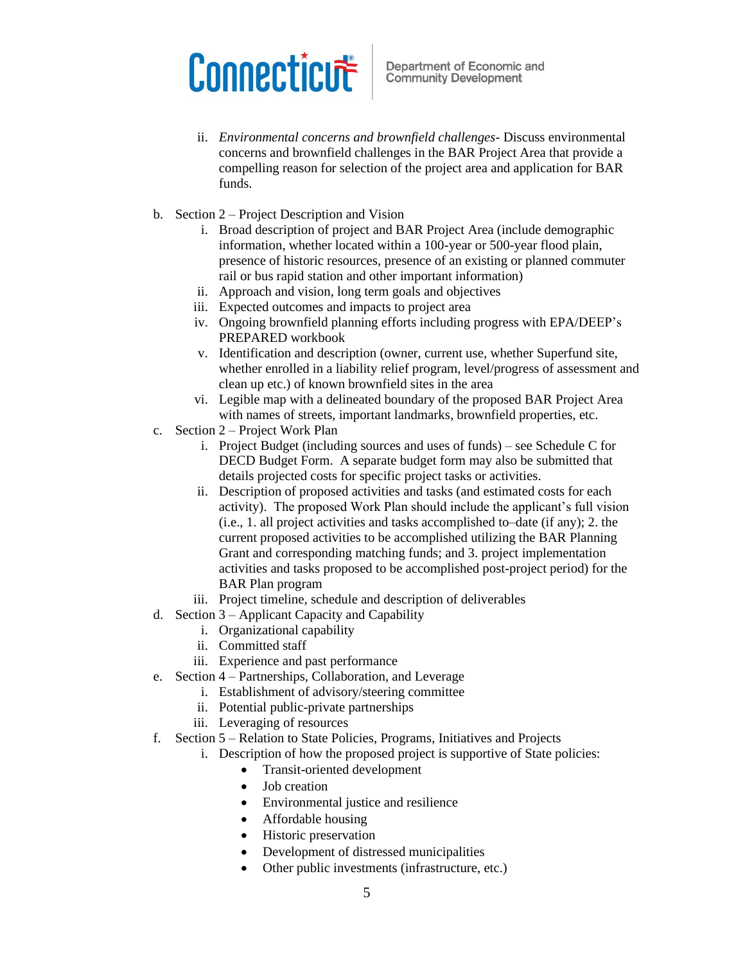- ii. *Environmental concerns and brownfield challenges-* Discuss environmental concerns and brownfield challenges in the BAR Project Area that provide a compelling reason for selection of the project area and application for BAR funds.
- b. Section 2 Project Description and Vision
	- i. Broad description of project and BAR Project Area (include demographic information, whether located within a 100-year or 500-year flood plain, presence of historic resources, presence of an existing or planned commuter rail or bus rapid station and other important information)
	- ii. Approach and vision, long term goals and objectives
	- iii. Expected outcomes and impacts to project area
	- iv. Ongoing brownfield planning efforts including progress with EPA/DEEP's PREPARED workbook
	- v. Identification and description (owner, current use, whether Superfund site, whether enrolled in a liability relief program, level/progress of assessment and clean up etc.) of known brownfield sites in the area
	- vi. Legible map with a delineated boundary of the proposed BAR Project Area with names of streets, important landmarks, brownfield properties, etc.
- c. Section 2 Project Work Plan
	- i. Project Budget (including sources and uses of funds) see Schedule C for DECD Budget Form. A separate budget form may also be submitted that details projected costs for specific project tasks or activities.
	- ii. Description of proposed activities and tasks (and estimated costs for each activity). The proposed Work Plan should include the applicant's full vision (i.e., 1. all project activities and tasks accomplished to–date (if any); 2. the current proposed activities to be accomplished utilizing the BAR Planning Grant and corresponding matching funds; and 3. project implementation activities and tasks proposed to be accomplished post-project period) for the BAR Plan program
	- iii. Project timeline, schedule and description of deliverables
- d. Section 3 Applicant Capacity and Capability
	- i. Organizational capability
	- ii. Committed staff
	- iii. Experience and past performance
- e. Section 4 Partnerships, Collaboration, and Leverage
	- i. Establishment of advisory/steering committee
	- ii. Potential public-private partnerships
	- iii. Leveraging of resources
- f. Section 5 Relation to State Policies, Programs, Initiatives and Projects
	- i. Description of how the proposed project is supportive of State policies:
		- Transit-oriented development
		- Job creation
		- Environmental justice and resilience
		- Affordable housing
		- Historic preservation
		- Development of distressed municipalities
		- Other public investments (infrastructure, etc.)